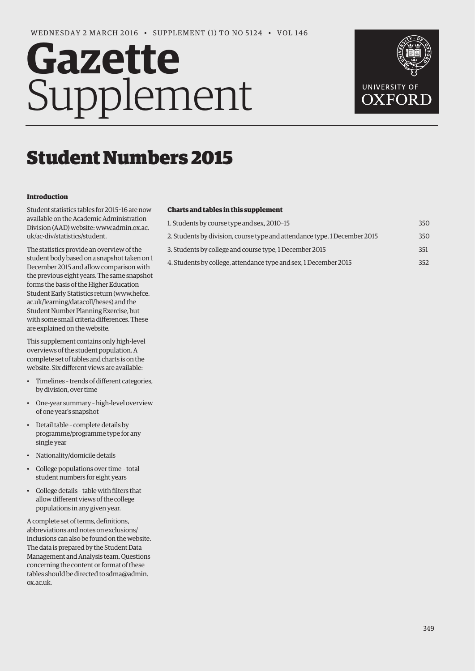# **Gazette** Supplement



# Student Numbers 2015

#### **Introduction**

Student statistics tables for 2015–16 are now available on the Academic Administration [Division \(AAD\) website: www.admin.ox.ac.](www.admin.ox.ac.uk/ac-div/statistics/student) uk/ac-div/statistics/student.

The statistics provide an overview of the student body based on a snapshot taken on 1 December 2015 and allow comparison with the previous eight years. The same snapshot forms the basis of the Higher Education [Student Early Statistics return \(www.hefce.](www.hefce.ac.uk/learning/datacoll/heses) ac.uk/learning/datacoll/heses) and the Student Number Planning Exercise, but with some small criteria differences. These are explained on the website.

This supplement contains only high-level overviews of the student population. A complete set of tables and charts is on the website. Six different views are available:

- Timelines trends of different categories, by division, over time
- One-year summary high-level overview of one year's snapshot
- Detail table complete details by programme/programme type for any single year
- Nationality/domicile details
- College populations over time total student numbers for eight years
- College details table with filters that allow different views of the college populations in any given year.

A complete set of terms, definitions, abbreviations and notes on exclusions/ inclusions can also be found on the website. The data is prepared by the Student Data Management and Analysis team. Questions concerning the content or format of these [tables should be directed to sdma@admin.](mailto:sdma@admin.ox.ac.uk)  ox.ac.uk.

### **Charts and tables in this supplement**

| 1. Students by course type and sex, 2010-15                               | 350 |
|---------------------------------------------------------------------------|-----|
| 2. Students by division, course type and attendance type, 1 December 2015 | 350 |
| 3. Students by college and course type, 1 December 2015                   | 351 |
| 4. Students by college, attendance type and sex, 1 December 2015          | 352 |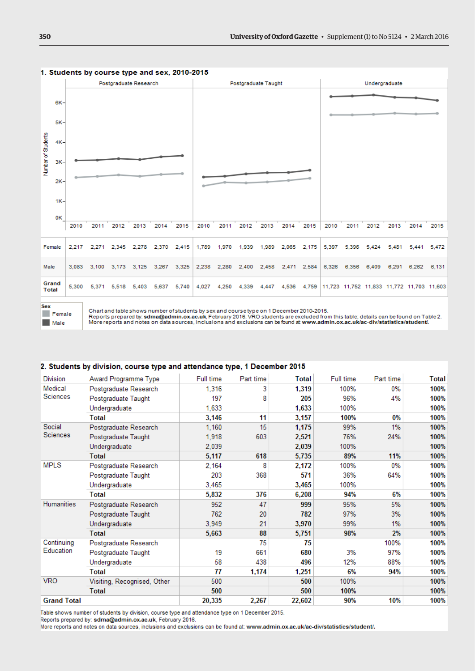

#### <span id="page-1-0"></span>1. Students by course type and sex, 2010-2015

Female **Male** 

Chart and table shows number of students by sex and course type on 1 December 2010-2015.

Reports prepared by: sdma@admin.ox.ac.uk, February 2016. VRO students are excluded from this table; details can be found on Table 2.<br>More reports and notes on data sources, inclusions and exclusions can be found at www.adm

#### 2. Students by division, course type and attendance type, 1 December 2015

| <b>Division</b>            | Award Programme Type        | <b>Full time</b> | Part time | Total  | Full time | Part time | <b>Total</b> |
|----------------------------|-----------------------------|------------------|-----------|--------|-----------|-----------|--------------|
| Medical<br><b>Sciences</b> | Postgraduate Research       | 1,316            | 3         | 1,319  | 100%      | $0\%$     | 100%         |
|                            | Postgraduate Taught         | 197              | 8         | 205    | 96%       | 4%        | 100%         |
|                            | Undergraduate               | 1,633            |           | 1,633  | 100%      |           | 100%         |
|                            | <b>Total</b>                | 3,146            | 11        | 3,157  | 100%      | 0%        | 100%         |
| Social                     | Postgraduate Research       | 1,160            | 15        | 1,175  | 99%       | 1%        | 100%         |
| <b>Sciences</b>            | Postgraduate Taught         | 1,918            | 603       | 2,521  | 76%       | 24%       | 100%         |
|                            | Undergraduate               | 2,039            |           | 2,039  | 100%      |           | 100%         |
|                            | <b>Total</b>                | 5,117            | 618       | 5,735  | 89%       | 11%       | 100%         |
| <b>MPLS</b>                | Postgraduate Research       | 2.164            | 8         | 2,172  | 100%      | $0\%$     | 100%         |
|                            | Postgraduate Taught         | 203              | 368       | 571    | 36%       | 64%       | 100%         |
|                            | Undergraduate               | 3.465            |           | 3,465  | 100%      |           | 100%         |
|                            | <b>Total</b>                | 5,832            | 376       | 6,208  | 94%       | 6%        | 100%         |
| <b>Humanities</b>          | Postgraduate Research       | 952              | 47        | 999    | 95%       | 5%        | 100%         |
|                            | Postgraduate Taught         | 762              | 20        | 782    | 97%       | 3%        | 100%         |
|                            | Undergraduate               | 3.949            | 21        | 3,970  | 99%       | 1%        | 100%         |
|                            | Total                       | 5,663            | 88        | 5,751  | 98%       | 2%        | 100%         |
| Continuing<br>Education    | Postgraduate Research       |                  | 75        | 75     |           | 100%      | 100%         |
|                            | Postgraduate Taught         | 19               | 661       | 680    | 3%        | 97%       | 100%         |
|                            | Undergraduate               | 58               | 438       | 496    | 12%       | 88%       | 100%         |
|                            | Total                       | 77               | 1,174     | 1,251  | 6%        | 94%       | 100%         |
| <b>VRO</b>                 | Visiting, Recognised, Other | 500              |           | 500    | 100%      |           | 100%         |
|                            | <b>Total</b>                | 500              |           | 500    | 100%      |           | 100%         |
| <b>Grand Total</b>         |                             | 20,335           | 2,267     | 22,602 | 90%       | 10%       | 100%         |

Table shows number of students by division, course type and attendance type on 1 December 2015.

Reports prepared by: sdma@admin.ox.ac.uk, February 2016.

More reports and notes on data sources, inclusions and exclusions can be found at: www.admin.ox.ac.uk/ac-div/statistics/student/.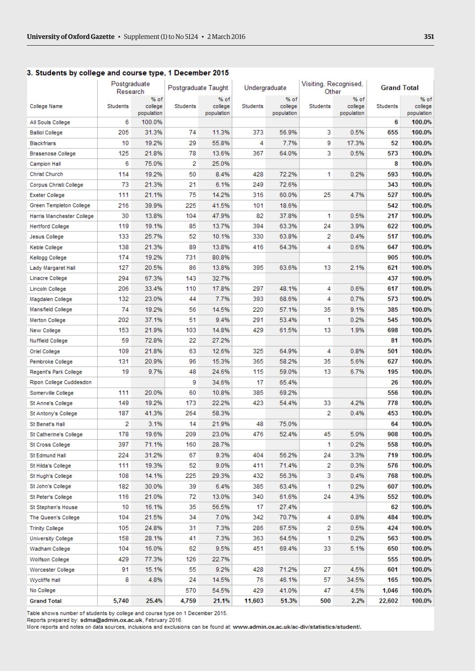## <span id="page-2-0"></span>3. Students by college and course type, 1 December 2015

|                           | Postgraduate<br>Research |                               |                 | Postgraduate Taught<br>Undergraduate |                 | Visiting, Recognised,<br>Other |          | <b>Grand Total</b>            |          |                               |
|---------------------------|--------------------------|-------------------------------|-----------------|--------------------------------------|-----------------|--------------------------------|----------|-------------------------------|----------|-------------------------------|
| College Name              | <b>Students</b>          | % of<br>college<br>population | <b>Students</b> | % of<br>college<br>population        | <b>Students</b> | % of<br>college<br>population  | Students | % of<br>college<br>population | Students | % of<br>college<br>population |
| All Souls College         | 6                        | 100.0%                        |                 |                                      |                 |                                |          |                               | 6        | 100.0%                        |
| <b>Balliol College</b>    | 205                      | 31.3%                         | 74              | 11.3%                                | 373             | 56.9%                          | 3        | 0.5%                          | 655      | 100.0%                        |
| <b>Blackfriars</b>        | 10                       | 19.2%                         | 29              | 55.8%                                | 4               | 7.7%                           | 9        | 17.3%                         | 52       | 100.0%                        |
| <b>Brasenose College</b>  | 125                      | 21.8%                         | 78              | 13.6%                                | 367             | 64.0%                          | 3        | 0.5%                          | 573      | 100.0%                        |
| <b>Campion Hall</b>       | 6                        | 75.0%                         | 2               | 25.0%                                |                 |                                |          |                               | 8        | 100.0%                        |
| <b>Christ Church</b>      | 114                      | 19.2%                         | 50              | 8.4%                                 | 428             | 72.2%                          | 1        | 0.2%                          | 593      | 100.0%                        |
| Corpus Christi College    | 73                       | 21.3%                         | 21              | 6.1%                                 | 249             | 72.6%                          |          |                               | 343      | 100.0%                        |
| <b>Exeter College</b>     | 111                      | 21.1%                         | 75              | 14.2%                                | 316             | 60.0%                          | 25       | 4.7%                          | 527      | 100.0%                        |
| Green Templeton College   | 216                      | 39.9%                         | 225             | 41.5%                                | 101             | 18.6%                          |          |                               | 542      | 100.0%                        |
| Harris Manchester College | 30                       | 13.8%                         | 104             | 47.9%                                | 82              | 37.8%                          | 1        | 0.5%                          | 217      | 100.0%                        |
| <b>Hertford College</b>   | 119                      | 19.1%                         | 85              | 13.7%                                | 394             | 63.3%                          | 24       | 3.9%                          | 622      | 100.0%                        |
| Jesus College             | 133                      | 25.7%                         | 52              | 10.1%                                | 330             | 63.8%                          | 2        | 0.4%                          | 517      | 100.0%                        |
| Keble College             | 138                      | 21.3%                         | 89              | 13.8%                                | 416             | 64.3%                          | 4        | 0.6%                          | 647      | 100.0%                        |
| Kellogg College           | 174                      | 19.2%                         | 731             | 80.8%                                |                 |                                |          |                               | 905      | 100.0%                        |
| Lady Margaret Hall        | 127                      | 20.5%                         | 86              | 13.8%                                | 395             | 63.6%                          | 13       | 2.1%                          | 621      | 100.0%                        |
| <b>Linacre College</b>    | 294                      | 67.3%                         | 143             | 32.7%                                |                 |                                |          |                               | 437      | 100.0%                        |
| <b>Lincoln College</b>    | 206                      | 33.4%                         | 110             | 17.8%                                | 297             | 48.1%                          | 4        | 0.6%                          | 617      | 100.0%                        |
| Magdalen College          | 132                      | 23.0%                         | 44              | 7.7%                                 | 393             | 68.6%                          | 4        | 0.7%                          | 573      | 100.0%                        |
| Mansfield College         | 74                       | 19.2%                         | 56              | 14.5%                                | 220             | 57.1%                          | 35       | 9.1%                          | 385      | 100.0%                        |
| <b>Merton College</b>     | 202                      | 37.1%                         | 51              | 9.4%                                 | 291             | 53.4%                          | 1        | 0.2%                          | 545      | 100.0%                        |
| New College               | 153                      | 21.9%                         | 103             | 14.8%                                | 429             | 61.5%                          | 13       | 1.9%                          | 698      | 100.0%                        |
| <b>Nuffield College</b>   | 59                       | 72.8%                         | 22              | 27.2%                                |                 |                                |          |                               | 81       | 100.0%                        |
|                           | 109                      |                               | 63              | 12.6%                                | 325             | 64.9%                          | 4        | 0.8%                          | 501      | 100.0%                        |
| Oriel College             |                          | 21.8%                         | 96              | 15.3%                                | 365             |                                | 35       | 5.6%                          | 627      |                               |
| Pembroke College          | 131                      | 20.9%                         |                 | 24.6%                                |                 | 58.2%                          |          |                               | 195      | 100.0%                        |
| Regent's Park College     | 19                       | 9.7%                          | 48              |                                      | 115             | 59.0%                          | 13       | 6.7%                          |          | 100.0%                        |
| Ripon College Cuddesdon   |                          |                               | 9               | 34.6%                                | 17              | 65.4%                          |          |                               | 26       | 100.0%                        |
| Somerville College        | 111                      | 20.0%                         | 60              | 10.8%                                | 385             | 69.2%                          |          |                               | 556      | 100.0%                        |
| St Anne's College         | 149                      | 19.2%                         | 173             | 22.2%                                | 423             | 54.4%                          | 33       | 4.2%                          | 778      | 100.0%                        |
| St Antony's College       | 187                      | 41.3%                         | 264             | 58.3%                                |                 |                                | 2        | 0.4%                          | 453      | 100.0%                        |
| St Benet's Hall           | 2                        | 3.1%                          | 14              | 21.9%                                | 48              | 75.0%                          |          |                               | 64       | 100.0%                        |
| St Catherine's College    | 178                      | 19.6%                         | 209             | 23.0%                                | 476             | 52.4%                          | 45       | 5.0%                          | 908      | 100.0%                        |
| St Cross College          | 397                      | 71.1%                         | 160             | 28.7%                                |                 |                                | 1        | 0.2%                          | 558      | 100.0%                        |
| St Edmund Hall            | 224                      | 31.2%                         | 67              | 9.3%                                 | 404             | 56.2%                          | 24       | 3.3%                          | 719      | 100.0%                        |
| St Hilda's College        | 111                      | 19.3%                         | 52              | 9.0%                                 | 411             | 71.4%                          | 2        | 0.3%                          | 576      | 100.0%                        |
| St Hugh's College         | 108                      | 14.1%                         | 225             | 29.3%                                | 432             | 56.3%                          | 3        | 0.4%                          | 768      | 100.0%                        |
| St John's College         | 182                      | 30.0%                         | 39              | 6.4%                                 | 385             | 63.4%                          | 1        | 0.2%                          | 607      | 100.0%                        |
| St Peter's College        | 116                      | 21.0%                         | 72              | 13.0%                                | 340             | 61.6%                          | 24       | 4.3%                          | 552      | 100.0%                        |
| St Stephen's House        | 10                       | 16.1%                         | 35              | 56.5%                                | 17              | 27.4%                          |          |                               | 62       | 100.0%                        |
| The Queen's College       | 104                      | 21.5%                         | 34              | 7.0%                                 | 342             | 70.7%                          | 4        | 0.8%                          | 484      | 100.0%                        |
| <b>Trinity College</b>    | 105                      | 24.8%                         | 31              | 7.3%                                 | 286             | 67.5%                          | 2        | 0.5%                          | 424      | 100.0%                        |
| <b>University College</b> | 158                      | 28.1%                         | 41              | 7.3%                                 | 363             | 64.5%                          | 1        | 0.2%                          | 563      | 100.0%                        |
| Wadham College            | 104                      | 16.0%                         | 62              | 9.5%                                 | 451             | 69.4%                          | 33       | 5.1%                          | 650      | 100.0%                        |
| Wolfson College           | 429                      | 77.3%                         | 126             | 22.7%                                |                 |                                |          |                               | 555      | 100.0%                        |
| Worcester College         | 91                       | 15.1%                         | 55              | 9.2%                                 | 428             | 71.2%                          | 27       | 4.5%                          | 601      | 100.0%                        |
| Wycliffe Hall             | 8                        | 4.8%                          | 24              | 14.5%                                | 76              | 46.1%                          | 57       | 34.5%                         | 165      | 100.0%                        |
| No College                |                          |                               | 570             | 54.5%                                | 429             | 41.0%                          | 47       | 4.5%                          | 1,046    | 100.0%                        |
| <b>Grand Total</b>        | 5,740                    | 25.4%                         | 4,759           | 21.1%                                | 11,603          | 51.3%                          | 500      | 2.2%                          | 22,602   | 100.0%                        |

Table shows number of students by college and course type on 1 December 2015.

Reports prepared by: sdma@admin.ox.ac.uk, February 2016.

More reports and notes on data sources, inclusions and exclusions can be found at: www.admin.ox.ac.uk/ac-div/statistics/student/.